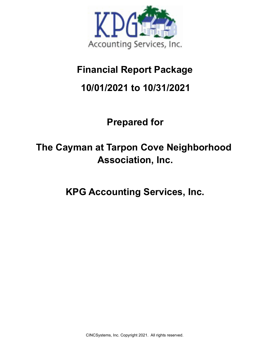

## **Financial Report Package**

### **10/01/2021 to 10/31/2021**

# **Prepared for**

# **The Cayman at Tarpon Cove Neighborhood Association, Inc.**

**KPG Accounting Services, Inc.**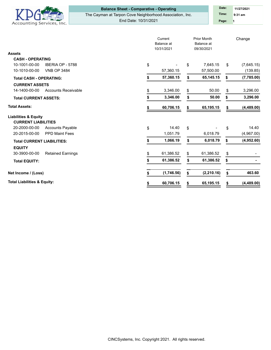

### **Balance Sheet - Comparative - Operating Date:** Date:

The Cayman at Tarpon Cove Neighborhood Association, Inc. End Date: 10/31/2021

**1 Time: 9:31 am 11/27/2021 Page:**

|                                             | Current<br>Balance at<br>10/31/2021 |            | <b>Prior Month</b><br>Balance at<br>09/30/2021 |             | Change |            |
|---------------------------------------------|-------------------------------------|------------|------------------------------------------------|-------------|--------|------------|
| <b>Assets</b>                               |                                     |            |                                                |             |        |            |
| <b>CASH - OPERATING</b>                     |                                     |            |                                                |             |        |            |
| 10-1001-00-00<br>IBERIA OP - 5788           | \$                                  |            | \$                                             | 7,645.15    | \$     | (7,645.15) |
| 10-1010-00-00<br><b>VNB OP 3484</b>         |                                     | 57,360.15  |                                                | 57,500.00   |        | (139.85)   |
| <b>Total CASH - OPERATING:</b>              |                                     | 57,360.15  | \$                                             | 65,145.15   | \$     | (7,785.00) |
| <b>CURRENT ASSETS</b>                       |                                     |            |                                                |             |        |            |
| 14-1400-00-00<br><b>Accounts Receivable</b> |                                     | 3,346.00   | \$                                             | 50.00       | \$     | 3,296.00   |
| <b>Total CURRENT ASSETS:</b>                | \$                                  | 3,346.00   | \$                                             | 50.00       | \$     | 3,296.00   |
| <b>Total Assets:</b>                        |                                     | 60,706.15  | S                                              | 65,195.15   | S      | (4,489.00) |
| <b>Liabilities &amp; Equity</b>             |                                     |            |                                                |             |        |            |
| <b>CURRENT LIABILITIES</b>                  |                                     |            |                                                |             |        |            |
| 20-2000-00-00<br><b>Accounts Payable</b>    | \$                                  | 14.40      | \$                                             |             | \$     | 14.40      |
| 20-2015-00-00<br><b>PPD Maint Fees</b>      |                                     | 1,051.79   |                                                | 6,018.79    |        | (4,967.00) |
| <b>Total CURRENT LIABILITIES:</b>           | \$                                  | 1,066.19   | \$                                             | 6,018.79    | \$     | (4,952.60) |
| <b>EQUITY</b>                               |                                     |            |                                                |             |        |            |
| 30-3900-00-00<br><b>Retained Earnings</b>   | \$                                  | 61,386.52  | \$                                             | 61,386.52   | \$     |            |
| <b>Total EQUITY:</b>                        |                                     | 61,386.52  | \$                                             | 61,386.52   | \$     |            |
| Net Income / (Loss)                         |                                     | (1,746.56) | \$                                             | (2, 210.16) | \$     | 463.60     |
| <b>Total Liabilities &amp; Equity:</b>      | \$                                  | 60,706.15  | \$                                             | 65,195.15   | \$     | (4,489.00) |

CINCSystems, Inc. Copyright 2021. All rights reserved.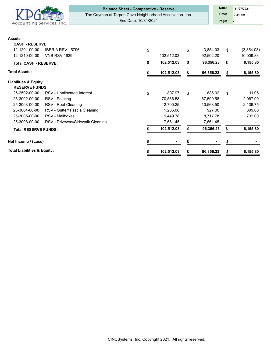

### **Balance Sheet - Comparative - Reserve <b>Date:** Date:

The Cayman at Tarpon Cove Neighborhood Association, Inc.

End Date: 10/31/2021

**2 Time: 9:31 am 11/27/2021 Page:**

### **Assets**

| мээсіэ                                 |                                  |    |            |    |                |    |            |  |
|----------------------------------------|----------------------------------|----|------------|----|----------------|----|------------|--|
| <b>CASH - RESERVE</b>                  |                                  |    |            |    |                |    |            |  |
| 12-1201-00-00                          | <b>IBERIA RSV - 5796</b>         | \$ |            | \$ | 3,854.03       | \$ | (3,854.03) |  |
| 12-1210-00-00                          | <b>VNB RSV 1629</b>              |    | 102,512.03 |    | 92,502.20      |    | 10,009.83  |  |
| <b>Total CASH - RESERVE:</b>           |                                  |    | 102,512.03 |    | 96,356.23      |    | 6,155.80   |  |
| Total Assets:                          |                                  |    | 102,512.03 |    | 96,356.23      |    | 6,155.80   |  |
| <b>Liabilities &amp; Equity</b>        |                                  |    |            |    |                |    |            |  |
| <b>RESERVE FUNDS</b>                   |                                  |    |            |    |                |    |            |  |
| 25-2502-00-00                          | RSV - Unallocated Interest       | \$ | 897.97     | \$ | 886.92         | \$ | 11.05      |  |
| 25-3002-00-00                          | RSV - Painting                   |    | 70,566.58  |    | 67,599.58      |    | 2,967.00   |  |
| 25-3003-00-00                          | RSV - Roof Cleaning              |    | 12,700.25  |    | 10,563.50      |    | 2,136.75   |  |
| 25-3004-00-00                          | RSV - Gutter/ Fascia Cleaning    |    | 1,236.00   |    | 927.00         |    | 309.00     |  |
| 25-3005-00-00                          | RSV - Mailboxes                  |    | 9,449.78   |    | 8,717.78       |    | 732.00     |  |
| 25-3008-00-00                          | RSV - Driveway/Sidewalk Cleaning |    | 7,661.45   |    | 7,661.45       |    |            |  |
| <b>Total RESERVE FUNDS:</b>            |                                  |    | 102,512.03 | S  | 96,356.23      | S  | 6,155.80   |  |
| Net Income / (Loss)                    |                                  |    |            | S  | $\blacksquare$ |    |            |  |
| <b>Total Liabilities &amp; Equity:</b> |                                  | \$ | 102,512.03 | \$ | 96,356.23      | \$ | 6,155.80   |  |